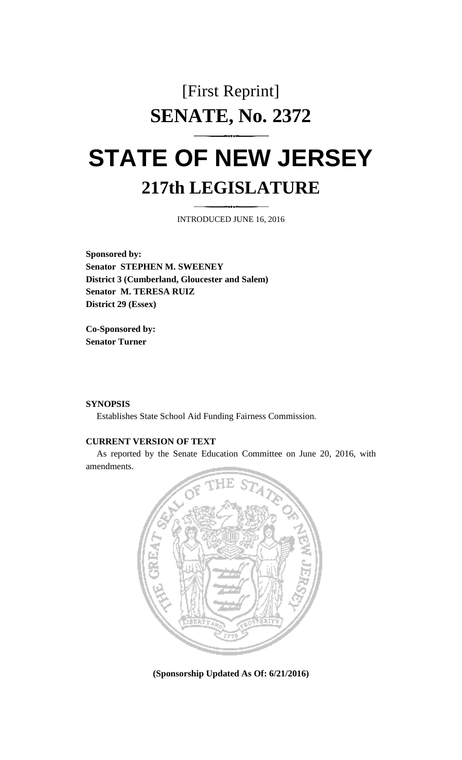## [First Reprint] **SENATE, No. 2372**

# **STATE OF NEW JERSEY 217th LEGISLATURE**

INTRODUCED JUNE 16, 2016

**Sponsored by: Senator STEPHEN M. SWEENEY District 3 (Cumberland, Gloucester and Salem) Senator M. TERESA RUIZ District 29 (Essex)**

**Co-Sponsored by: Senator Turner**

#### **SYNOPSIS**

Establishes State School Aid Funding Fairness Commission.

#### **CURRENT VERSION OF TEXT**

As reported by the Senate Education Committee on June 20, 2016, with amendments.



**(Sponsorship Updated As Of: 6/21/2016)**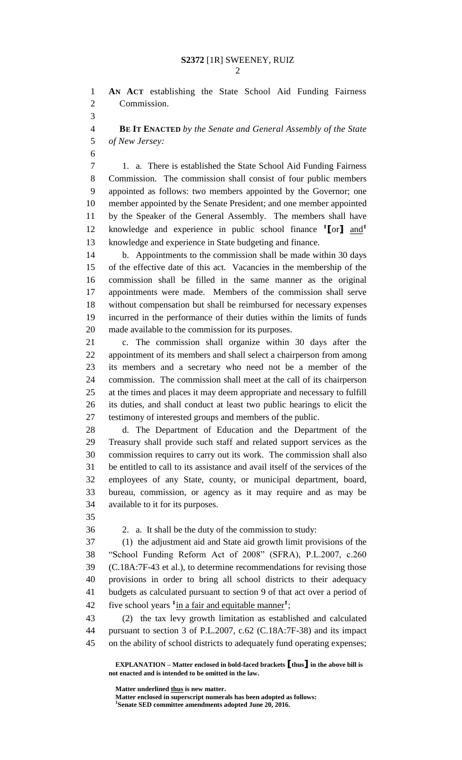**AN ACT** establishing the State School Aid Funding Fairness Commission.

 **BE IT ENACTED** *by the Senate and General Assembly of the State of New Jersey:*

 1. a. There is established the State School Aid Funding Fairness Commission. The commission shall consist of four public members appointed as follows: two members appointed by the Governor; one member appointed by the Senate President; and one member appointed by the Speaker of the General Assembly. The members shall have knowledge and experience in public school finance **<sup>1</sup> [**or**]** and**<sup>1</sup>** knowledge and experience in State budgeting and finance.

 b. Appointments to the commission shall be made within 30 days of the effective date of this act. Vacancies in the membership of the commission shall be filled in the same manner as the original appointments were made. Members of the commission shall serve without compensation but shall be reimbursed for necessary expenses incurred in the performance of their duties within the limits of funds made available to the commission for its purposes.

 c. The commission shall organize within 30 days after the appointment of its members and shall select a chairperson from among its members and a secretary who need not be a member of the commission. The commission shall meet at the call of its chairperson at the times and places it may deem appropriate and necessary to fulfill its duties, and shall conduct at least two public hearings to elicit the testimony of interested groups and members of the public.

 d. The Department of Education and the Department of the Treasury shall provide such staff and related support services as the commission requires to carry out its work. The commission shall also be entitled to call to its assistance and avail itself of the services of the employees of any State, county, or municipal department, board, bureau, commission, or agency as it may require and as may be available to it for its purposes.

2. a. It shall be the duty of the commission to study:

 (1) the adjustment aid and State aid growth limit provisions of the "School Funding Reform Act of 2008" (SFRA), P.L.2007, c.260 (C.18A:7F-43 et al.), to determine recommendations for revising those provisions in order to bring all school districts to their adequacy budgets as calculated pursuant to section 9 of that act over a period of 42 five school years <sup>1</sup> in a fair and equitable manner<sup>1</sup>;

 (2) the tax levy growth limitation as established and calculated pursuant to section 3 of P.L.2007, c.62 (C.18A:7F-38) and its impact on the ability of school districts to adequately fund operating expenses;

**EXPLANATION – Matter enclosed in bold-faced brackets [thus] in the above bill is not enacted and is intended to be omitted in the law.**

**Matter underlined thus is new matter.**

**Matter enclosed in superscript numerals has been adopted as follows: 1 Senate SED committee amendments adopted June 20, 2016.**